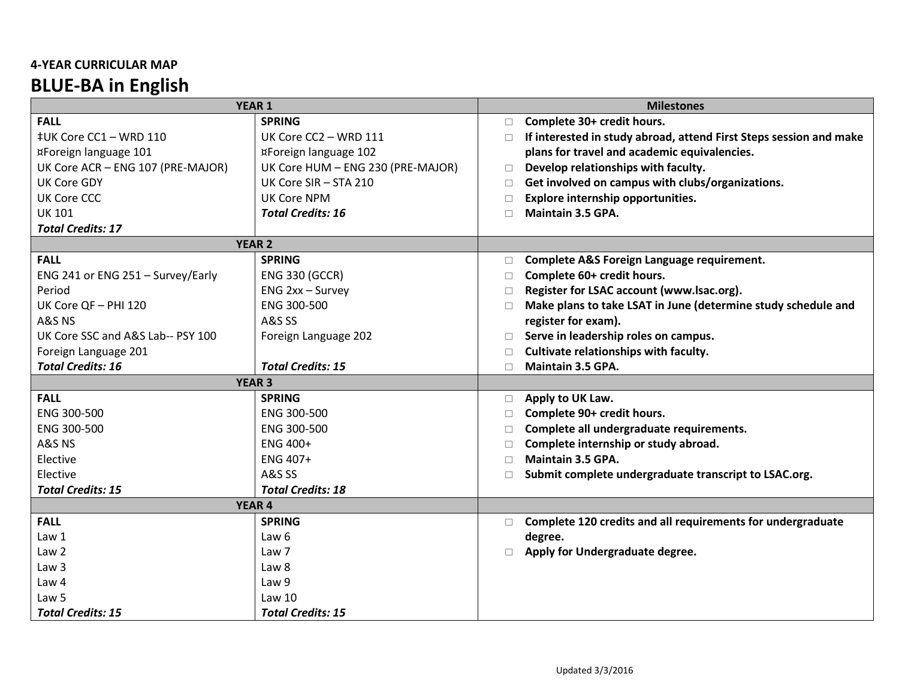## **4-YEAR CURRICULAR MAP BLUE-BA in English**

| <b>YEAR 1</b>                     |                                   |        | <b>Milestones</b>                                                  |  |
|-----------------------------------|-----------------------------------|--------|--------------------------------------------------------------------|--|
| <b>FALL</b>                       | <b>SPRING</b>                     | $\Box$ | Complete 30+ credit hours.                                         |  |
| ‡UK Core CC1 - WRD 110            | UK Core CC2 - WRD 111             | П      | If interested in study abroad, attend First Steps session and make |  |
| ¤Foreign language 101             | ¤Foreign language 102             |        | plans for travel and academic equivalencies.                       |  |
| UK Core ACR - ENG 107 (PRE-MAJOR) | UK Core HUM - ENG 230 (PRE-MAJOR) | $\Box$ | Develop relationships with faculty.                                |  |
| <b>UK Core GDY</b>                | UK Core SIR - STA 210             | n      | Get involved on campus with clubs/organizations.                   |  |
| <b>UK Core CCC</b>                | <b>UK Core NPM</b>                | $\Box$ | Explore internship opportunities.                                  |  |
| <b>UK 101</b>                     | <b>Total Credits: 16</b>          | П      | Maintain 3.5 GPA.                                                  |  |
| <b>Total Credits: 17</b>          |                                   |        |                                                                    |  |
| <b>YEAR 2</b>                     |                                   |        |                                                                    |  |
| <b>FALL</b>                       | <b>SPRING</b>                     | $\Box$ | Complete A&S Foreign Language requirement.                         |  |
| ENG 241 or ENG 251 - Survey/Early | <b>ENG 330 (GCCR)</b>             | $\Box$ | Complete 60+ credit hours.                                         |  |
| Period                            | ENG 2xx - Survey                  | □      | Register for LSAC account (www.lsac.org).                          |  |
| UK Core QF - PHI 120              | ENG 300-500                       | □      | Make plans to take LSAT in June (determine study schedule and      |  |
| A&S NS                            | <b>A&amp;S SS</b>                 |        | register for exam).                                                |  |
| UK Core SSC and A&S Lab-- PSY 100 | Foreign Language 202              | □      | Serve in leadership roles on campus.                               |  |
| Foreign Language 201              |                                   | П      | Cultivate relationships with faculty.                              |  |
| <b>Total Credits: 16</b>          | <b>Total Credits: 15</b>          | П      | Maintain 3.5 GPA.                                                  |  |
| <b>YEAR 3</b>                     |                                   |        |                                                                    |  |
| <b>FALL</b>                       | <b>SPRING</b>                     | $\Box$ | Apply to UK Law.                                                   |  |
| ENG 300-500                       | ENG 300-500                       | □      | Complete 90+ credit hours.                                         |  |
| ENG 300-500                       | ENG 300-500                       | □      | Complete all undergraduate requirements.                           |  |
| A&S NS                            | ENG 400+                          | □      | Complete internship or study abroad.                               |  |
| Elective                          | ENG 407+                          | П      | Maintain 3.5 GPA.                                                  |  |
| Elective                          | <b>A&amp;S SS</b>                 | П      | Submit complete undergraduate transcript to LSAC.org.              |  |
| <b>Total Credits: 15</b>          | <b>Total Credits: 18</b>          |        |                                                                    |  |
| <b>YEAR 4</b>                     |                                   |        |                                                                    |  |
| <b>FALL</b>                       | <b>SPRING</b>                     | $\Box$ | Complete 120 credits and all requirements for undergraduate        |  |
| Law 1                             | Law <sub>6</sub>                  |        | degree.                                                            |  |
| Law <sub>2</sub>                  | Law 7                             | п      | Apply for Undergraduate degree.                                    |  |
| Law <sub>3</sub>                  | Law 8                             |        |                                                                    |  |
| Law 4                             | Law 9                             |        |                                                                    |  |
| Law <sub>5</sub>                  | Law <sub>10</sub>                 |        |                                                                    |  |
| <b>Total Credits: 15</b>          | <b>Total Credits: 15</b>          |        |                                                                    |  |